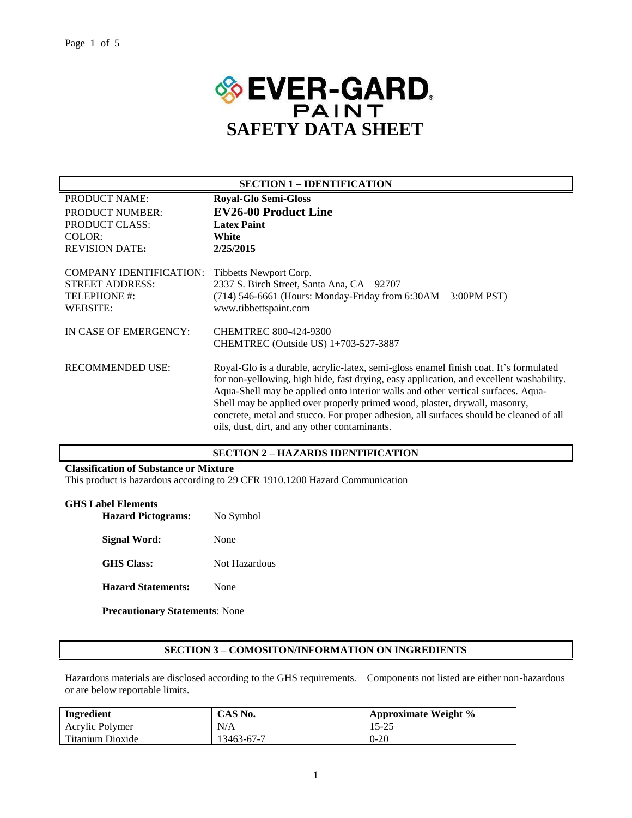

| <b>SECTION 1 – IDENTIFICATION</b>                                                    |                                                                                                                                                                                                                                                                                                                                                                                                                                                                                               |  |  |
|--------------------------------------------------------------------------------------|-----------------------------------------------------------------------------------------------------------------------------------------------------------------------------------------------------------------------------------------------------------------------------------------------------------------------------------------------------------------------------------------------------------------------------------------------------------------------------------------------|--|--|
| PRODUCT NAME:                                                                        | <b>Royal-Glo Semi-Gloss</b>                                                                                                                                                                                                                                                                                                                                                                                                                                                                   |  |  |
| <b>PRODUCT NUMBER:</b>                                                               | <b>EV26-00 Product Line</b>                                                                                                                                                                                                                                                                                                                                                                                                                                                                   |  |  |
| PRODUCT CLASS:                                                                       | <b>Latex Paint</b>                                                                                                                                                                                                                                                                                                                                                                                                                                                                            |  |  |
| COLOR:                                                                               | White                                                                                                                                                                                                                                                                                                                                                                                                                                                                                         |  |  |
| <b>REVISION DATE:</b>                                                                | 2/25/2015                                                                                                                                                                                                                                                                                                                                                                                                                                                                                     |  |  |
| <b>COMPANY IDENTIFICATION:</b><br><b>STREET ADDRESS:</b><br>TELEPHONE #:<br>WEBSITE: | Tibbetts Newport Corp.<br>2337 S. Birch Street, Santa Ana, CA 92707<br>(714) 546-6661 (Hours: Monday-Friday from 6:30AM - 3:00PM PST)<br>www.tibbettspaint.com                                                                                                                                                                                                                                                                                                                                |  |  |
| IN CASE OF EMERGENCY:                                                                | CHEMTREC 800-424-9300<br>CHEMTREC (Outside US) 1+703-527-3887                                                                                                                                                                                                                                                                                                                                                                                                                                 |  |  |
| <b>RECOMMENDED USE:</b>                                                              | Royal-Glo is a durable, acrylic-latex, semi-gloss enamel finish coat. It's formulated<br>for non-yellowing, high hide, fast drying, easy application, and excellent washability.<br>Aqua-Shell may be applied onto interior walls and other vertical surfaces. Aqua-<br>Shell may be applied over properly primed wood, plaster, drywall, masonry,<br>concrete, metal and stucco. For proper adhesion, all surfaces should be cleaned of all<br>oils, dust, dirt, and any other contaminants. |  |  |

#### **SECTION 2 – HAZARDS IDENTIFICATION**

#### **Classification of Substance or Mixture**

This product is hazardous according to 29 CFR 1910.1200 Hazard Communication

| <b>GHS Label Elements</b>             |               |  |
|---------------------------------------|---------------|--|
| <b>Hazard Pictograms:</b>             | No Symbol     |  |
| Signal Word:                          | None          |  |
| <b>GHS</b> Class:                     | Not Hazardous |  |
| <b>Hazard Statements:</b>             | None          |  |
| <b>Precautionary Statements: None</b> |               |  |

#### **SECTION 3 – COMOSITON/INFORMATION ON INGREDIENTS**

Hazardous materials are disclosed according to the GHS requirements. Components not listed are either non-hazardous or are below reportable limits.

| Ingredient       | CAS No.    | <b>Approximate Weight <math>\%</math></b> |  |
|------------------|------------|-------------------------------------------|--|
| Acrylic Polymer  | N/A        | 15-25                                     |  |
| Titanium Dioxide | 13463-67-7 | $0 - 20$                                  |  |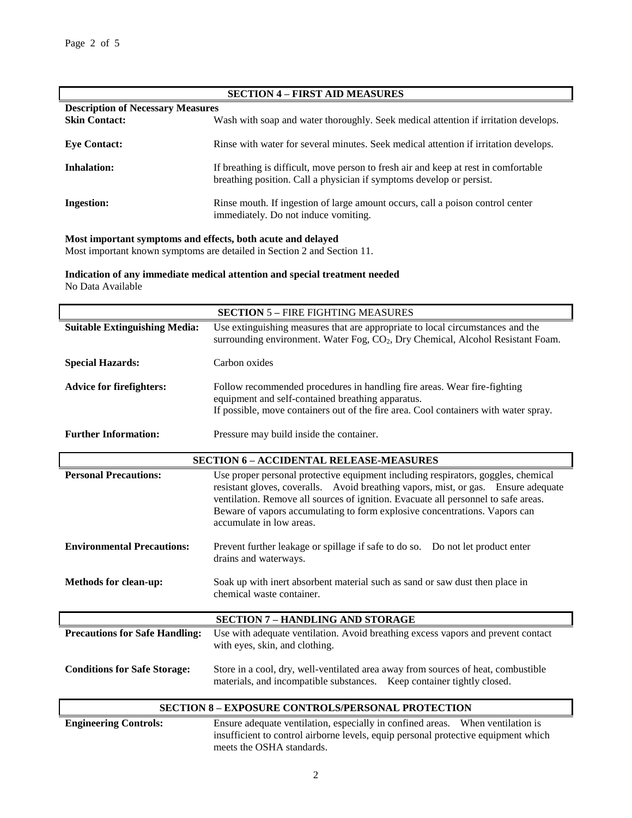| <b>SECTION 4 - FIRST AID MEASURES</b>    |                                                                                                                                                             |  |  |  |
|------------------------------------------|-------------------------------------------------------------------------------------------------------------------------------------------------------------|--|--|--|
| <b>Description of Necessary Measures</b> |                                                                                                                                                             |  |  |  |
| <b>Skin Contact:</b>                     | Wash with soap and water thoroughly. Seek medical attention if irritation develops.                                                                         |  |  |  |
| <b>Eve Contact:</b>                      | Rinse with water for several minutes. Seek medical attention if irritation develops.                                                                        |  |  |  |
| <b>Inhalation:</b>                       | If breathing is difficult, move person to fresh air and keep at rest in comfortable<br>breathing position. Call a physician if symptoms develop or persist. |  |  |  |
| <b>Ingestion:</b>                        | Rinse mouth. If ingestion of large amount occurs, call a poison control center<br>immediately. Do not induce vomiting.                                      |  |  |  |

## **Most important symptoms and effects, both acute and delayed**

Most important known symptoms are detailed in Section 2 and Section 11.

**Indication of any immediate medical attention and special treatment needed** No Data Available

| <b>SECTION 5 - FIRE FIGHTING MEASURES</b>                                                                                                 |                                                                                                                                                                                                                                                                                                                                                                         |  |  |  |
|-------------------------------------------------------------------------------------------------------------------------------------------|-------------------------------------------------------------------------------------------------------------------------------------------------------------------------------------------------------------------------------------------------------------------------------------------------------------------------------------------------------------------------|--|--|--|
| <b>Suitable Extinguishing Media:</b>                                                                                                      | Use extinguishing measures that are appropriate to local circumstances and the<br>surrounding environment. Water Fog, CO <sub>2</sub> , Dry Chemical, Alcohol Resistant Foam.                                                                                                                                                                                           |  |  |  |
| <b>Special Hazards:</b>                                                                                                                   | Carbon oxides                                                                                                                                                                                                                                                                                                                                                           |  |  |  |
| <b>Advice for firefighters:</b>                                                                                                           | Follow recommended procedures in handling fire areas. Wear fire-fighting<br>equipment and self-contained breathing apparatus.<br>If possible, move containers out of the fire area. Cool containers with water spray.                                                                                                                                                   |  |  |  |
| <b>Further Information:</b>                                                                                                               | Pressure may build inside the container.                                                                                                                                                                                                                                                                                                                                |  |  |  |
|                                                                                                                                           | <b>SECTION 6 - ACCIDENTAL RELEASE-MEASURES</b>                                                                                                                                                                                                                                                                                                                          |  |  |  |
| <b>Personal Precautions:</b>                                                                                                              | Use proper personal protective equipment including respirators, goggles, chemical<br>resistant gloves, coveralls. Avoid breathing vapors, mist, or gas. Ensure adequate<br>ventilation. Remove all sources of ignition. Evacuate all personnel to safe areas.<br>Beware of vapors accumulating to form explosive concentrations. Vapors can<br>accumulate in low areas. |  |  |  |
| <b>Environmental Precautions:</b>                                                                                                         | Prevent further leakage or spillage if safe to do so.  Do not let product enter<br>drains and waterways.                                                                                                                                                                                                                                                                |  |  |  |
| <b>Methods for clean-up:</b><br>Soak up with inert absorbent material such as sand or saw dust then place in<br>chemical waste container. |                                                                                                                                                                                                                                                                                                                                                                         |  |  |  |
|                                                                                                                                           | <b>SECTION 7 - HANDLING AND STORAGE</b>                                                                                                                                                                                                                                                                                                                                 |  |  |  |
| <b>Precautions for Safe Handling:</b>                                                                                                     | Use with adequate ventilation. Avoid breathing excess vapors and prevent contact<br>with eyes, skin, and clothing.                                                                                                                                                                                                                                                      |  |  |  |
| <b>Conditions for Safe Storage:</b>                                                                                                       | Store in a cool, dry, well-ventilated area away from sources of heat, combustible<br>materials, and incompatible substances. Keep container tightly closed.                                                                                                                                                                                                             |  |  |  |
| <b>SECTION 8 - EXPOSURE CONTROLS/PERSONAL PROTECTION</b>                                                                                  |                                                                                                                                                                                                                                                                                                                                                                         |  |  |  |

**Engineering Controls:** Ensure adequate ventilation, especially in confined areas. When ventilation is insufficient to control airborne levels, equip personal protective equipment which meets the OSHA standards.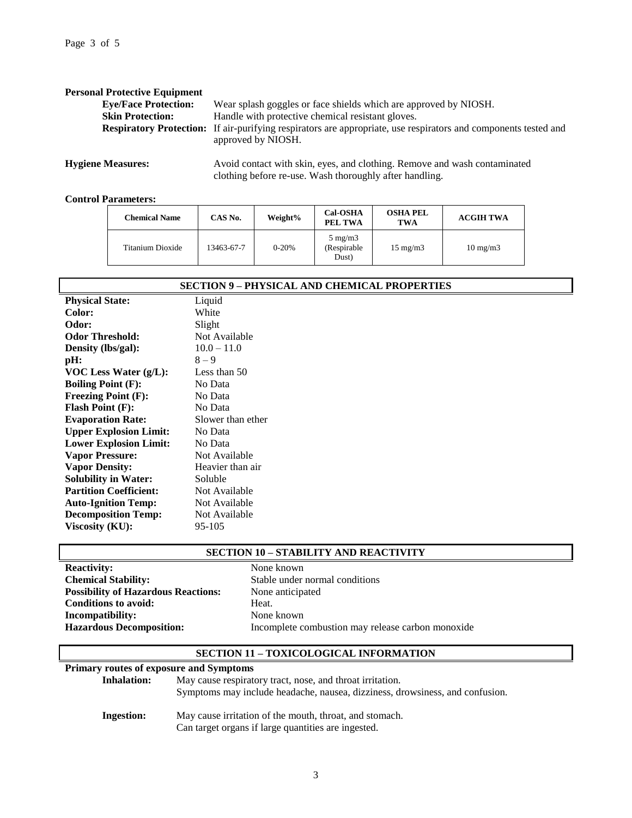| <b>Personal Protective Equipment</b> |                                                                                                                                              |
|--------------------------------------|----------------------------------------------------------------------------------------------------------------------------------------------|
| <b>Eye/Face Protection:</b>          | Wear splash goggles or face shields which are approved by NIOSH.                                                                             |
| <b>Skin Protection:</b>              | Handle with protective chemical resistant gloves.                                                                                            |
|                                      | <b>Respiratory Protection:</b> If air-purifying respirators are appropriate, use respirators and components tested and<br>approved by NIOSH. |
|                                      |                                                                                                                                              |

**Hygiene Measures:** Avoid contact with skin, eyes, and clothing. Remove and wash contaminated clothing before re-use. Wash thoroughly after handling.

### **Control Parameters:**

| <b>Chemical Name</b> | CAS No.    | Weight%   | <b>Cal-OSHA</b><br>PEL TWA                | <b>OSHA PEL</b><br>TWA | <b>ACGIH TWA</b>  |
|----------------------|------------|-----------|-------------------------------------------|------------------------|-------------------|
| Titanium Dioxide     | 13463-67-7 | $0 - 20%$ | $5 \text{ mg/m}$<br>(Respirable)<br>Dust) | $15 \text{ mg/m}$      | $10 \text{ mg/m}$ |

| <b>SECTION 9 - PHYSICAL AND CHEMICAL PROPERTIES</b> |                   |  |  |
|-----------------------------------------------------|-------------------|--|--|
| <b>Physical State:</b>                              | Liquid            |  |  |
| Color:                                              | White             |  |  |
| Odor:                                               | Slight            |  |  |
| <b>Odor Threshold:</b>                              | Not Available     |  |  |
| Density (lbs/gal):                                  | $10.0 - 11.0$     |  |  |
| pH:                                                 | $8 - 9$           |  |  |
| VOC Less Water $(g/L)$ :                            | Less than 50      |  |  |
| <b>Boiling Point (F):</b>                           | No Data           |  |  |
| <b>Freezing Point (F):</b>                          | No Data           |  |  |
| <b>Flash Point (F):</b>                             | No Data           |  |  |
| <b>Evaporation Rate:</b>                            | Slower than ether |  |  |
| <b>Upper Explosion Limit:</b>                       | No Data           |  |  |
| <b>Lower Explosion Limit:</b>                       | No Data           |  |  |
| <b>Vapor Pressure:</b>                              | Not Available     |  |  |
| <b>Vapor Density:</b>                               | Heavier than air  |  |  |
| <b>Solubility in Water:</b>                         | Soluble           |  |  |
| <b>Partition Coefficient:</b>                       | Not Available     |  |  |
| <b>Auto-Ignition Temp:</b>                          | Not Available     |  |  |
| <b>Decomposition Temp:</b>                          | Not Available     |  |  |
| Viscosity (KU):                                     | 95-105            |  |  |

### **SECTION 10 – STABILITY AND REACTIVITY**

| None  |
|-------|
| Stabl |
| None  |
| Heat. |
| None  |
| Incor |
|       |

**Reactivity:** None known Stable under normal conditions **None anticipated None known Hazardous Decomposition:** Incomplete combustion may release carbon monoxide

## **SECTION 11 – TOXICOLOGICAL INFORMATION**

### **Primary routes of exposure and Symptoms**

| <b>Inhalation:</b> | May cause respiratory tract, nose, and throat irritation.<br>Symptoms may include headache, nausea, dizziness, drowsiness, and confusion. |
|--------------------|-------------------------------------------------------------------------------------------------------------------------------------------|
| Ingestion:         | May cause irritation of the mouth, throat, and stomach.<br>Can target organs if large quantities are ingested.                            |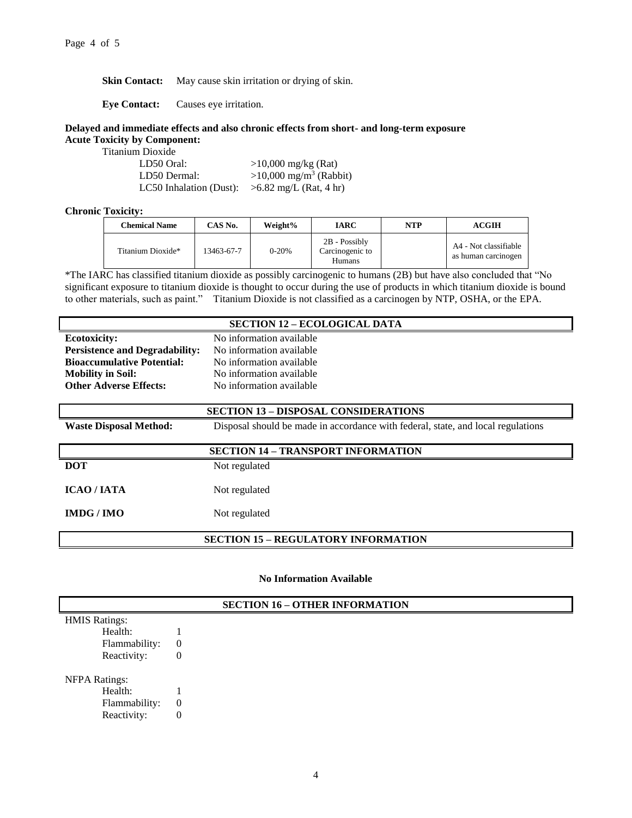**Skin Contact:** May cause skin irritation or drying of skin.

**Eye Contact:** Causes eye irritation.

#### **Delayed and immediate effects and also chronic effects from short- and long-term exposure Acute Toxicity by Component:**

Titanium Dioxide

| LD50 Oral:              | $>10,000$ mg/kg (Rat)                |
|-------------------------|--------------------------------------|
| LD50 Dermal:            | $>10,000$ mg/m <sup>3</sup> (Rabbit) |
| LC50 Inhalation (Dust): | $>6.82$ mg/L (Rat, 4 hr)             |

### **Chronic Toxicity:**

| <b>Chemical Name</b> | CAS No.    | Weight%   | IARC                                              | <b>NTP</b> | <b>ACGIH</b>                                 |
|----------------------|------------|-----------|---------------------------------------------------|------------|----------------------------------------------|
| Titanium Dioxide*    | 13463-67-7 | $0 - 20%$ | 2B - Possibly<br>Carcinogenic to<br><b>Humans</b> |            | A4 - Not classifiable<br>as human carcinogen |

\*The IARC has classified titanium dioxide as possibly carcinogenic to humans (2B) but have also concluded that "No significant exposure to titanium dioxide is thought to occur during the use of products in which titanium dioxide is bound to other materials, such as paint." Titanium Dioxide is not classified as a carcinogen by NTP, OSHA, or the EPA.

### **SECTION 12 – ECOLOGICAL DATA**

| <b>Persistence and Degradability:</b><br>No information available | <b>Ecotoxicity:</b>               | No information available |
|-------------------------------------------------------------------|-----------------------------------|--------------------------|
|                                                                   |                                   |                          |
|                                                                   | <b>Bioaccumulative Potential:</b> | No information available |
| No information available<br><b>Mobility in Soil:</b>              |                                   |                          |
| <b>Other Adverse Effects:</b><br>No information available         |                                   |                          |

| <b>SECTION 13 – DISPOSAL CONSIDERATIONS</b> |                                                                                  |  |
|---------------------------------------------|----------------------------------------------------------------------------------|--|
| <b>Waste Disposal Method:</b>               | Disposal should be made in accordance with federal, state, and local regulations |  |
| <b>SECTION 14 - TRANSPORT INFORMATION</b>   |                                                                                  |  |
|                                             |                                                                                  |  |
| <b>DOT</b>                                  | Not regulated                                                                    |  |
|                                             |                                                                                  |  |
| <b>ICAO/IATA</b>                            | Not regulated                                                                    |  |
|                                             |                                                                                  |  |
|                                             |                                                                                  |  |
| IMDG/IMO                                    | Not regulated                                                                    |  |
|                                             |                                                                                  |  |

## **SECTION 15 – REGULATORY INFORMATION**

**No Information Available**

# **SECTION 16 – OTHER INFORMATION** HMIS Ratings: Health: 1 Flammability: 0 Reactivity: 0 NFPA Ratings: Health: 1 Flammability: 0 Reactivity: 0